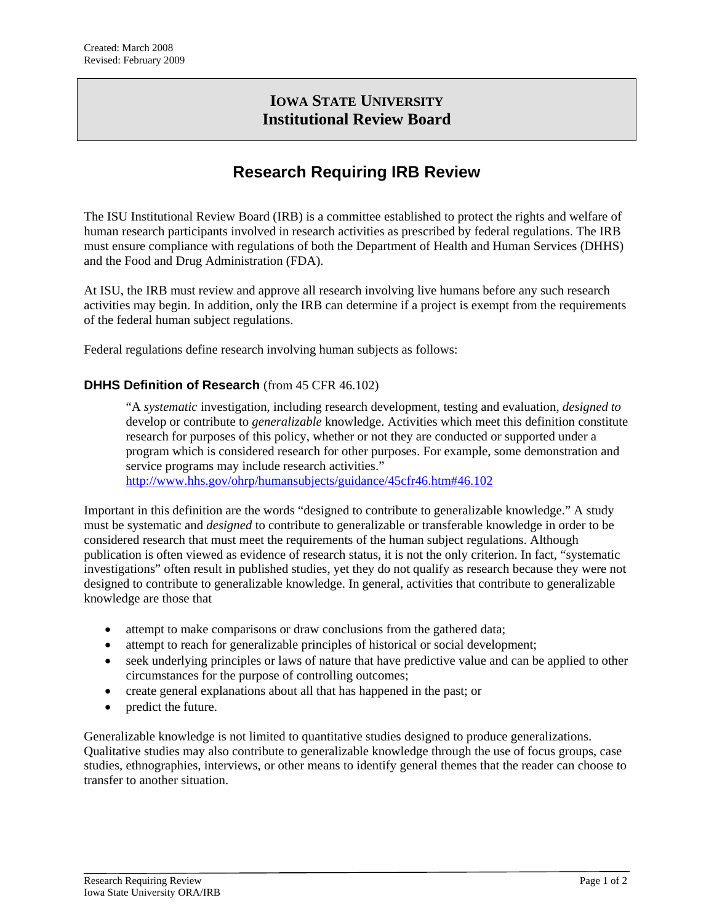# **IOWA STATE UNIVERSITY Institutional Review Board**

# **Research Requiring IRB Review**

The ISU Institutional Review Board (IRB) is a committee established to protect the rights and welfare of human research participants involved in research activities as prescribed by federal regulations. The IRB must ensure compliance with regulations of both the Department of Health and Human Services (DHHS) and the Food and Drug Administration (FDA).

At ISU, the IRB must review and approve all research involving live humans before any such research activities may begin. In addition, only the IRB can determine if a project is exempt from the requirements of the federal human subject regulations.

Federal regulations define research involving human subjects as follows:

#### **DHHS Definition of Research** (from 45 CFR 46.102)

"A *systematic* investigation, including research development, testing and evaluation, *designed to* develop or contribute to *generalizable* knowledge. Activities which meet this definition constitute research for purposes of this policy, whether or not they are conducted or supported under a program which is considered research for other purposes. For example, some demonstration and service programs may include research activities." <http://www.hhs.gov/ohrp/humansubjects/guidance/45cfr46.htm#46.102>

Important in this definition are the words "designed to contribute to generalizable knowledge." A study must be systematic and *designed* to contribute to generalizable or transferable knowledge in order to be considered research that must meet the requirements of the human subject regulations. Although publication is often viewed as evidence of research status, it is not the only criterion. In fact, "systematic

investigations" often result in published studies, yet they do not qualify as research because they were not designed to contribute to generalizable knowledge. In general, activities that contribute to generalizable knowledge are those that

- attempt to make comparisons or draw conclusions from the gathered data;
- attempt to reach for generalizable principles of historical or social development;
- seek underlying principles or laws of nature that have predictive value and can be applied to other circumstances for the purpose of controlling outcomes;
- create general explanations about all that has happened in the past; or
- predict the future.

Generalizable knowledge is not limited to quantitative studies designed to produce generalizations. Qualitative studies may also contribute to generalizable knowledge through the use of focus groups, case studies, ethnographies, interviews, or other means to identify general themes that the reader can choose to transfer to another situation.